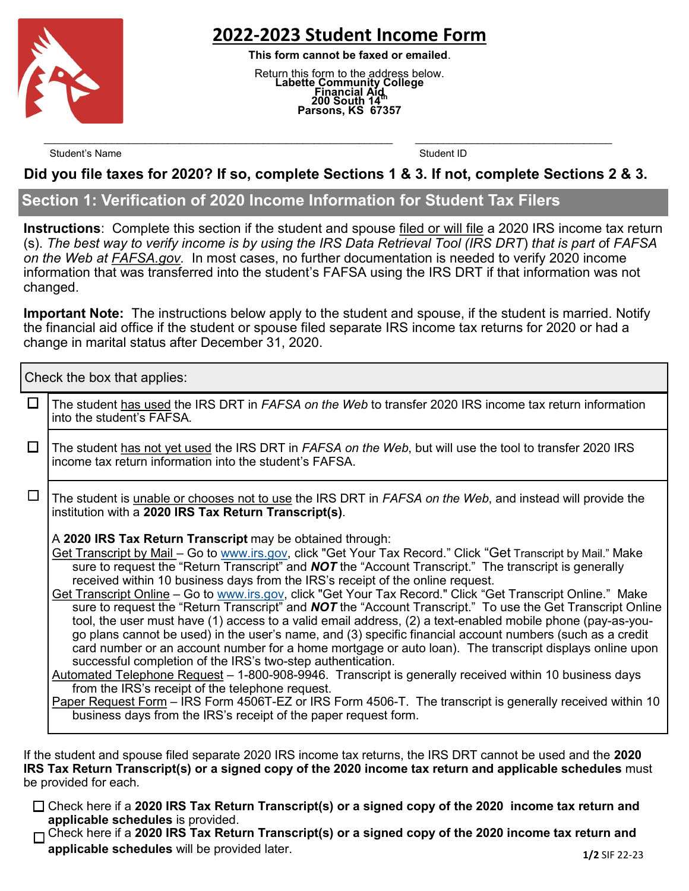

# **2022-2023 Student Income Form**

**This form cannot be faxed or emailed**.

Return this form to the address below. **Labette Community College Financial Aid 200 South 14th Parsons, KS 67357**

Student's Name Student ID

#### **Did you file taxes for 2020? If so, complete Sections 1 & 3. If not, complete Sections 2 & 3.**

 $\mathcal{L}_\text{max} = \mathcal{L}_\text{max} = \mathcal{L}_\text{max} = \mathcal{L}_\text{max} = \mathcal{L}_\text{max} = \mathcal{L}_\text{max} = \mathcal{L}_\text{max} = \mathcal{L}_\text{max} = \mathcal{L}_\text{max} = \mathcal{L}_\text{max} = \mathcal{L}_\text{max} = \mathcal{L}_\text{max} = \mathcal{L}_\text{max} = \mathcal{L}_\text{max} = \mathcal{L}_\text{max} = \mathcal{L}_\text{max} = \mathcal{L}_\text{max} = \mathcal{L}_\text{max} = \mathcal{$ 

#### **Section 1: Verification of 2020 Income Information for Student Tax Filers**

**Instructions**: Complete this section if the student and spouse filed or will file a 2020 IRS income tax return (s). *The best way to verify income is by using the IRS Data Retrieval Tool (IRS DRT*) *that is part o*f *FAFSA on the Web at FAFSA.gov.* In most cases, no further documentation is needed to verify 2020 income information that was transferred into the student's FAFSA using the IRS DRT if that information was not changed.

**Important Note:** The instructions below apply to the student and spouse, if the student is married. Notify the financial aid office if the student or spouse filed separate IRS income tax returns for 2020 or had a change in marital status after December 31, 2020.

Check the box that applies:

| $\Box$ | The student has used the IRS DRT in FAFSA on the Web to transfer 2020 IRS income tax return information<br>into the student's FAFSA.                                                                                                                                                                                                                                                                                                                                                                                                                                                                                                                                                                                                                                                                                                                                                                                                                                                                                                                                                                                                                                                                                                                                                                                                                                |  |  |
|--------|---------------------------------------------------------------------------------------------------------------------------------------------------------------------------------------------------------------------------------------------------------------------------------------------------------------------------------------------------------------------------------------------------------------------------------------------------------------------------------------------------------------------------------------------------------------------------------------------------------------------------------------------------------------------------------------------------------------------------------------------------------------------------------------------------------------------------------------------------------------------------------------------------------------------------------------------------------------------------------------------------------------------------------------------------------------------------------------------------------------------------------------------------------------------------------------------------------------------------------------------------------------------------------------------------------------------------------------------------------------------|--|--|
| $\Box$ | The student has not yet used the IRS DRT in <i>FAFSA on the Web</i> , but will use the tool to transfer 2020 IRS<br>income tax return information into the student's FAFSA.                                                                                                                                                                                                                                                                                                                                                                                                                                                                                                                                                                                                                                                                                                                                                                                                                                                                                                                                                                                                                                                                                                                                                                                         |  |  |
| $\Box$ | The student is unable or chooses not to use the IRS DRT in FAFSA on the Web, and instead will provide the<br>institution with a 2020 IRS Tax Return Transcript(s).                                                                                                                                                                                                                                                                                                                                                                                                                                                                                                                                                                                                                                                                                                                                                                                                                                                                                                                                                                                                                                                                                                                                                                                                  |  |  |
|        | A 2020 IRS Tax Return Transcript may be obtained through:<br>Get Transcript by Mail - Go to www.irs.gov, click "Get Your Tax Record." Click "Get Transcript by Mail." Make<br>sure to request the "Return Transcript" and <b>NOT</b> the "Account Transcript." The transcript is generally<br>received within 10 business days from the IRS's receipt of the online request.<br>Get Transcript Online - Go to www.irs.gov, click "Get Your Tax Record." Click "Get Transcript Online." Make<br>sure to request the "Return Transcript" and <b>NOT</b> the "Account Transcript." To use the Get Transcript Online<br>tool, the user must have (1) access to a valid email address, (2) a text-enabled mobile phone (pay-as-you-<br>go plans cannot be used) in the user's name, and (3) specific financial account numbers (such as a credit<br>card number or an account number for a home mortgage or auto loan). The transcript displays online upon<br>successful completion of the IRS's two-step authentication.<br>Automated Telephone Request - 1-800-908-9946. Transcript is generally received within 10 business days<br>from the IRS's receipt of the telephone request.<br>Paper Request Form – IRS Form 4506T-EZ or IRS Form 4506-T. The transcript is generally received within 10<br>business days from the IRS's receipt of the paper request form. |  |  |
|        |                                                                                                                                                                                                                                                                                                                                                                                                                                                                                                                                                                                                                                                                                                                                                                                                                                                                                                                                                                                                                                                                                                                                                                                                                                                                                                                                                                     |  |  |

If the student and spouse filed separate 2020 IRS income tax returns, the IRS DRT cannot be used and the **2020 IRS Tax Return Transcript(s) or a signed copy of the 2020 income tax return and applicable schedules** must be provided for each.

Check here if a **2020 IRS Tax Return Transcript(s) or a signed copy of the 2020 income tax return and applicable schedules** is provided.

Check here if a **2020 IRS Tax Return Transcript(s) or a signed copy of the 2020 income tax return and applicable schedules** will be provided later. **1/2** SIF 22-23